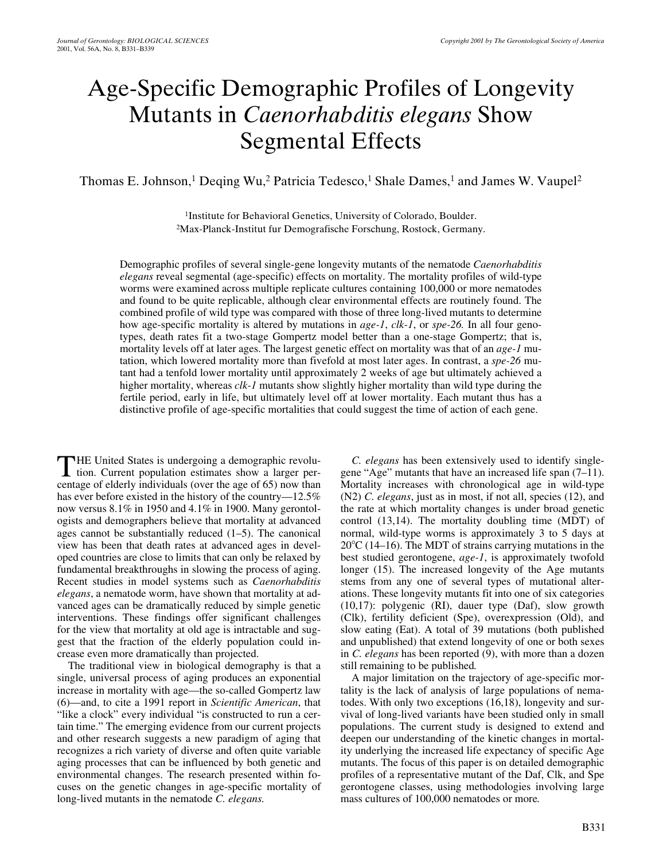# Age-Specific Demographic Profiles of Longevity Mutants in *Caenorhabditis elegans* Show Segmental Effects

Thomas E. Johnson,<sup>1</sup> Deqing Wu,<sup>2</sup> Patricia Tedesco,<sup>1</sup> Shale Dames,<sup>1</sup> and James W. Vaupel<sup>2</sup>

<sup>1</sup>Institute for Behavioral Genetics, University of Colorado, Boulder. 2Max-Planck-Institut fur Demografische Forschung, Rostock, Germany.

Demographic profiles of several single-gene longevity mutants of the nematode *Caenorhabditis elegans* reveal segmental (age-specific) effects on mortality. The mortality profiles of wild-type worms were examined across multiple replicate cultures containing 100,000 or more nematodes and found to be quite replicable, although clear environmental effects are routinely found. The combined profile of wild type was compared with those of three long-lived mutants to determine how age-specific mortality is altered by mutations in *age-1*, *clk-1*, or *spe-26.* In all four genotypes, death rates fit a two-stage Gompertz model better than a one-stage Gompertz; that is, mortality levels off at later ages. The largest genetic effect on mortality was that of an *age-1* mutation, which lowered mortality more than fivefold at most later ages. In contrast, a *spe-26* mutant had a tenfold lower mortality until approximately 2 weeks of age but ultimately achieved a higher mortality, whereas *clk-1* mutants show slightly higher mortality than wild type during the fertile period, early in life, but ultimately level off at lower mortality. Each mutant thus has a distinctive profile of age-specific mortalities that could suggest the time of action of each gene.

HE United States is undergoing a demographic revolu-THE United States is undergoing a demographic revolution. Current population estimates show a larger percentage of elderly individuals (over the age of 65) now than has ever before existed in the history of the country—12.5% now versus 8.1% in 1950 and 4.1% in 1900. Many gerontologists and demographers believe that mortality at advanced ages cannot be substantially reduced (1–5). The canonical view has been that death rates at advanced ages in developed countries are close to limits that can only be relaxed by fundamental breakthroughs in slowing the process of aging. Recent studies in model systems such as *Caenorhabditis elegans*, a nematode worm, have shown that mortality at advanced ages can be dramatically reduced by simple genetic interventions. These findings offer significant challenges for the view that mortality at old age is intractable and suggest that the fraction of the elderly population could increase even more dramatically than projected.

The traditional view in biological demography is that a single, universal process of aging produces an exponential increase in mortality with age—the so-called Gompertz law (6)—and, to cite a 1991 report in *Scientific American*, that "like a clock" every individual "is constructed to run a certain time." The emerging evidence from our current projects and other research suggests a new paradigm of aging that recognizes a rich variety of diverse and often quite variable aging processes that can be influenced by both genetic and environmental changes. The research presented within focuses on the genetic changes in age-specific mortality of long-lived mutants in the nematode *C. elegans.*

*C. elegans* has been extensively used to identify singlegene "Age" mutants that have an increased life span (7–11). Mortality increases with chronological age in wild-type (N2) *C. elegans*, just as in most, if not all, species (12), and the rate at which mortality changes is under broad genetic control (13,14). The mortality doubling time (MDT) of normal, wild-type worms is approximately 3 to 5 days at  $20^{\circ}$ C (14–16). The MDT of strains carrying mutations in the best studied gerontogene, *age-1*, is approximately twofold longer (15). The increased longevity of the Age mutants stems from any one of several types of mutational alterations. These longevity mutants fit into one of six categories (10,17): polygenic (RI), dauer type (Daf), slow growth (Clk), fertility deficient (Spe), overexpression (Old), and slow eating (Eat). A total of 39 mutations (both published and unpublished) that extend longevity of one or both sexes in *C. elegans* has been reported (9), with more than a dozen still remaining to be published*.*

A major limitation on the trajectory of age-specific mortality is the lack of analysis of large populations of nematodes. With only two exceptions (16,18), longevity and survival of long-lived variants have been studied only in small populations. The current study is designed to extend and deepen our understanding of the kinetic changes in mortality underlying the increased life expectancy of specific Age mutants. The focus of this paper is on detailed demographic profiles of a representative mutant of the Daf, Clk, and Spe gerontogene classes, using methodologies involving large mass cultures of 100,000 nematodes or more*.*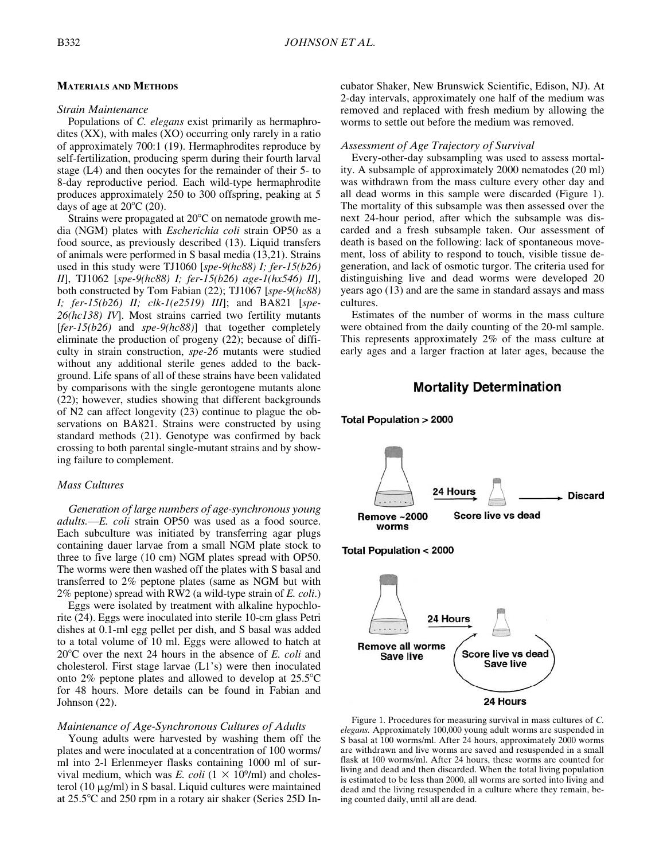# **MATERIALS AND METHODS**

# *Strain Maintenance*

Populations of *C. elegans* exist primarily as hermaphrodites (XX), with males (XO) occurring only rarely in a ratio of approximately 700:1 (19). Hermaphrodites reproduce by self-fertilization, producing sperm during their fourth larval stage (L4) and then oocytes for the remainder of their 5- to 8-day reproductive period. Each wild-type hermaphrodite produces approximately 250 to 300 offspring, peaking at 5 days of age at  $20^{\circ}$ C (20).

Strains were propagated at 20°C on nematode growth media (NGM) plates with *Escherichia coli* strain OP50 as a food source, as previously described (13). Liquid transfers of animals were performed in S basal media (13,21). Strains used in this study were TJ1060 [*spe-9(hc88) I; fer-15(b26) II*], TJ1062 [*spe-9(hc88) I; fer-15(b26) age-1(hx546) II*], both constructed by Tom Fabian (22); TJ1067 [*spe-9(hc88) I; fer-15(b26) II; clk-1(e2519) III*]; and BA821 [*spe-26(hc138) IV*]. Most strains carried two fertility mutants [*fer-15(b26)* and *spe-9(hc88)*] that together completely eliminate the production of progeny (22); because of difficulty in strain construction, *spe-26* mutants were studied without any additional sterile genes added to the background. Life spans of all of these strains have been validated by comparisons with the single gerontogene mutants alone (22); however, studies showing that different backgrounds of N2 can affect longevity (23) continue to plague the observations on BA821. Strains were constructed by using standard methods (21). Genotype was confirmed by back crossing to both parental single-mutant strains and by showing failure to complement.

# *Mass Cultures*

*Generation of large numbers of age-synchronous young adults.—E. coli* strain OP50 was used as a food source. Each subculture was initiated by transferring agar plugs containing dauer larvae from a small NGM plate stock to three to five large (10 cm) NGM plates spread with OP50. The worms were then washed off the plates with S basal and transferred to 2% peptone plates (same as NGM but with 2% peptone) spread with RW2 (a wild-type strain of *E. coli*.)

Eggs were isolated by treatment with alkaline hypochlorite (24). Eggs were inoculated into sterile 10-cm glass Petri dishes at 0.1-ml egg pellet per dish, and S basal was added to a total volume of 10 ml. Eggs were allowed to hatch at 20°C over the next 24 hours in the absence of *E. coli* and cholesterol. First stage larvae (L1's) were then inoculated onto  $2\%$  peptone plates and allowed to develop at  $25.5^{\circ}$ C for 48 hours. More details can be found in Fabian and Johnson (22).

# *Maintenance of Age-Synchronous Cultures of Adults*

Young adults were harvested by washing them off the plates and were inoculated at a concentration of 100 worms/ ml into 2-l Erlenmeyer flasks containing 1000 ml of survival medium, which was *E. coli*  $(1 \times 10^9/\text{ml})$  and cholesterol (10  $\mu$ g/ml) in S basal. Liquid cultures were maintained at 25.5°C and 250 rpm in a rotary air shaker (Series 25D Incubator Shaker, New Brunswick Scientific, Edison, NJ). At 2-day intervals, approximately one half of the medium was removed and replaced with fresh medium by allowing the worms to settle out before the medium was removed.

#### *Assessment of Age Trajectory of Survival*

Every-other-day subsampling was used to assess mortality. A subsample of approximately 2000 nematodes (20 ml) was withdrawn from the mass culture every other day and all dead worms in this sample were discarded (Figure 1). The mortality of this subsample was then assessed over the next 24-hour period, after which the subsample was discarded and a fresh subsample taken. Our assessment of death is based on the following: lack of spontaneous movement, loss of ability to respond to touch, visible tissue degeneration, and lack of osmotic turgor. The criteria used for distinguishing live and dead worms were developed 20 years ago (13) and are the same in standard assays and mass cultures.

Estimates of the number of worms in the mass culture were obtained from the daily counting of the 20-ml sample. This represents approximately 2% of the mass culture at early ages and a larger fraction at later ages, because the

# **Mortality Determination**



Figure 1. Procedures for measuring survival in mass cultures of *C. elegans.* Approximately 100,000 young adult worms are suspended in S basal at 100 worms/ml. After 24 hours, approximately 2000 worms are withdrawn and live worms are saved and resuspended in a small flask at 100 worms/ml. After 24 hours, these worms are counted for living and dead and then discarded. When the total living population is estimated to be less than 2000, all worms are sorted into living and dead and the living resuspended in a culture where they remain, being counted daily, until all are dead.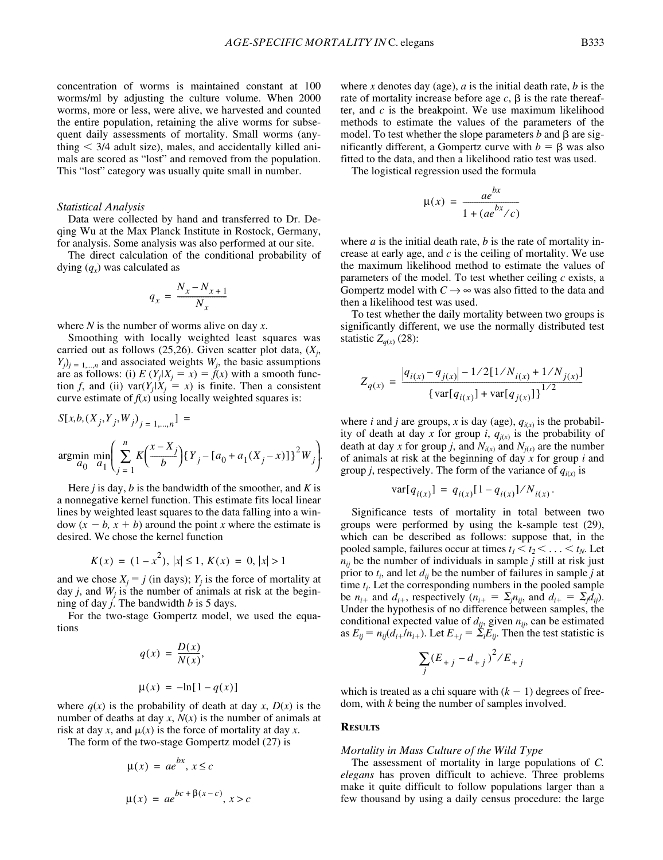concentration of worms is maintained constant at 100 worms/ml by adjusting the culture volume. When 2000 worms, more or less, were alive, we harvested and counted the entire population, retaining the alive worms for subsequent daily assessments of mortality. Small worms (anything  $\leq$  3/4 adult size), males, and accidentally killed animals are scored as "lost" and removed from the population. This "lost" category was usually quite small in number.

#### *Statistical Analysis*

Data were collected by hand and transferred to Dr. Deqing Wu at the Max Planck Institute in Rostock, Germany, for analysis. Some analysis was also performed at our site.

The direct calculation of the conditional probability of dying  $(q_x)$  was calculated as

$$
q_x = \frac{N_x - N_{x+1}}{N_x}
$$

where *N* is the number of worms alive on day *x*.

Smoothing with locally weighted least squares was carried out as follows (25,26). Given scatter plot data, (*Xj* ,  $(Y_j)_{j=1,\dots,n}$  and associated weights  $W_j$ , the basic assumptions are as follows: (i)  $E(Y_i|X_i = x) = \hat{f}(x)$  with a smooth function *f*, and (ii) var $(Y_i|X_i = x)$  is finite. Then a consistent curve estimate of  $f(x)$  using locally weighted squares is:

$$
S[x,b,(X_j,Y_j,W_j)_{j=1,\dots,n}] =
$$
  
argmin<sub>a<sub>0</sub></sub>  $\min_{a_1} \left( \sum_{j=1}^{n} K\left(\frac{x-X_j}{b}\right) \{Y_j - [a_0 + a_1(X_j - x)]\}^2 W_j \right).$ 

Here *j* is day, *b* is the bandwidth of the smoother, and *K* is a nonnegative kernel function. This estimate fits local linear lines by weighted least squares to the data falling into a window  $(x - b, x + b)$  around the point *x* where the estimate is desired. We chose the kernel function

$$
K(x) = (1 - x2), |x| \le 1, K(x) = 0, |x| > 1
$$

and we chose  $X_j = j$  (in days);  $Y_j$  is the force of mortality at day  $j$ , and  $W_j$  is the number of animals at risk at the beginning of day *j*. The bandwidth *b* is 5 days.

For the two-stage Gompertz model, we used the equations

$$
q(x) = \frac{D(x)}{N(x)},
$$
  

$$
\mu(x) = -\ln[1 - q(x)]
$$

where  $q(x)$  is the probability of death at day *x*,  $D(x)$  is the number of deaths at day *x*, *N*(*x*) is the number of animals at risk at day *x*, and  $\mu(x)$  is the force of mortality at day *x*.

The form of the two-stage Gompertz model (27) is

$$
\mu(x) = ae^{bx}, x \le c
$$
  

$$
\mu(x) = ae^{bc + \beta(x - c)}, x > c
$$

where *x* denotes day (age), *a* is the initial death rate, *b* is the rate of mortality increase before age  $c$ ,  $\beta$  is the rate thereafter, and *c* is the breakpoint. We use maximum likelihood methods to estimate the values of the parameters of the model. To test whether the slope parameters  $b$  and  $\beta$  are significantly different, a Gompertz curve with  $b = \beta$  was also fitted to the data, and then a likelihood ratio test was used.

The logistical regression used the formula

$$
\mu(x) = \frac{ae^{bx}}{1 + (ae^{bx}/c)}
$$

where *a* is the initial death rate, *b* is the rate of mortality increase at early age, and *c* is the ceiling of mortality. We use the maximum likelihood method to estimate the values of parameters of the model. To test whether ceiling *c* exists, a Gompertz model with  $C \rightarrow \infty$  was also fitted to the data and then a likelihood test was used.

To test whether the daily mortality between two groups is significantly different, we use the normally distributed test statistic  $Z_{q(x)}$  (28):

$$
Z_{q(x)} = \frac{|q_{i(x)} - q_{j(x)}| - 1/2[1/N_{i(x)} + 1/N_{j(x)}]}{\left\{\text{var}[q_{i(x)}] + \text{var}[q_{j(x)}]\right\}^{1/2}}
$$

where *i* and *j* are groups, *x* is day (age),  $q_{i(x)}$  is the probability of death at day *x* for group *i*,  $q_{j(x)}$  is the probability of death at day *x* for group *j*, and  $N_{i(x)}$  and  $N_{j(x)}$  are the number of animals at risk at the beginning of day *x* for group *i* and group *j*, respectively. The form of the variance of  $q_{i(x)}$  is

$$
var[q_{i(x)}] = q_{i(x)}[1 - q_{i(x)}]/N_{i(x)}
$$

.

Significance tests of mortality in total between two groups were performed by using the k-sample test (29), which can be described as follows: suppose that, in the pooled sample, failures occur at times  $t_1 < t_2 < \ldots < t_N$ . Let  $n_{ij}$  be the number of individuals in sample *j* still at risk just prior to  $t_i$ , and let  $d_{ij}$  be the number of failures in sample  $j$  at time  $t_i$ . Let the corresponding numbers in the pooled sample be  $n_{i+}$  and  $d_{i+}$ , respectively  $(n_{i+} = \sum_j n_{ij})$ , and  $d_{i+} = \sum_j d_{ij}$ ). Under the hypothesis of no difference between samples, the conditional expected value of  $d_{ij}$ , given  $n_{ij}$ , can be estimated as  $E_{ij} = n_{ij}(d_{i+}/n_{i+})$ . Let  $E_{+j} = \sum_{i} E_{ij}$ . Then the test statistic is

$$
\sum_{j} (E_{+j} - d_{+j})^2 / E_{+j}
$$

which is treated as a chi square with  $(k - 1)$  degrees of freedom, with *k* being the number of samples involved.

#### **RESULTS**

#### *Mortality in Mass Culture of the Wild Type*

The assessment of mortality in large populations of *C. elegans* has proven difficult to achieve. Three problems make it quite difficult to follow populations larger than a few thousand by using a daily census procedure: the large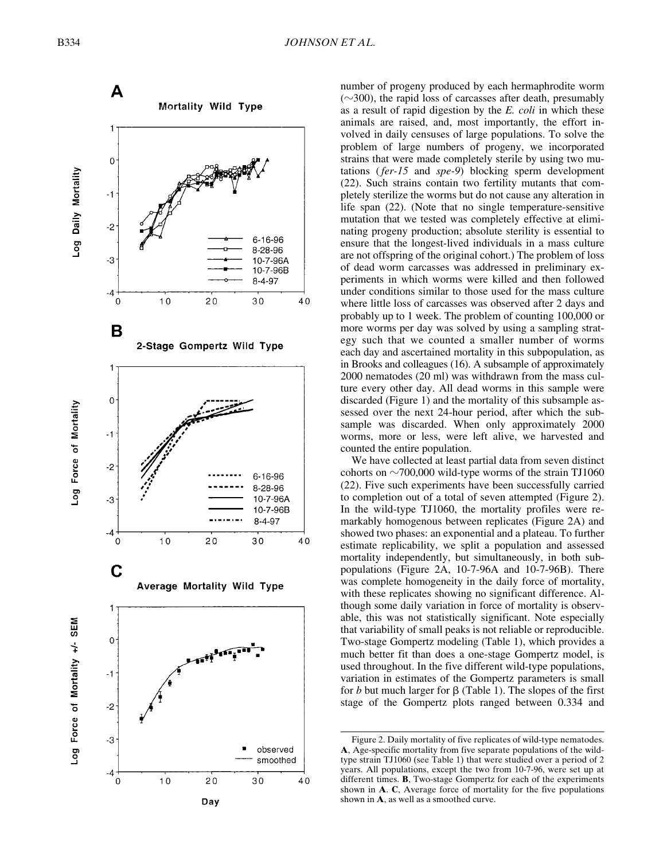A

Mortality Wild Type



number of progeny produced by each hermaphrodite worm  $(\sim)300$ , the rapid loss of carcasses after death, presumably as a result of rapid digestion by the *E. coli* in which these animals are raised, and, most importantly, the effort involved in daily censuses of large populations. To solve the problem of large numbers of progeny, we incorporated strains that were made completely sterile by using two mutations (*fer-15* and *spe-9*) blocking sperm development (22). Such strains contain two fertility mutants that completely sterilize the worms but do not cause any alteration in life span (22). (Note that no single temperature-sensitive mutation that we tested was completely effective at eliminating progeny production; absolute sterility is essential to ensure that the longest-lived individuals in a mass culture are not offspring of the original cohort.) The problem of loss of dead worm carcasses was addressed in preliminary experiments in which worms were killed and then followed under conditions similar to those used for the mass culture where little loss of carcasses was observed after 2 days and probably up to 1 week. The problem of counting 100,000 or more worms per day was solved by using a sampling strategy such that we counted a smaller number of worms each day and ascertained mortality in this subpopulation, as in Brooks and colleagues (16). A subsample of approximately 2000 nematodes (20 ml) was withdrawn from the mass culture every other day. All dead worms in this sample were discarded (Figure 1) and the mortality of this subsample assessed over the next 24-hour period, after which the subsample was discarded. When only approximately 2000 worms, more or less, were left alive, we harvested and counted the entire population.

We have collected at least partial data from seven distinct cohorts on  $\sim$  700,000 wild-type worms of the strain TJ1060 (22). Five such experiments have been successfully carried to completion out of a total of seven attempted (Figure 2). In the wild-type TJ1060, the mortality profiles were remarkably homogenous between replicates (Figure 2A) and showed two phases: an exponential and a plateau. To further estimate replicability, we split a population and assessed mortality independently, but simultaneously, in both subpopulations (Figure 2A, 10-7-96A and 10-7-96B). There was complete homogeneity in the daily force of mortality, with these replicates showing no significant difference. Although some daily variation in force of mortality is observable, this was not statistically significant. Note especially that variability of small peaks is not reliable or reproducible. Two-stage Gompertz modeling (Table 1), which provides a much better fit than does a one-stage Gompertz model, is used throughout. In the five different wild-type populations, variation in estimates of the Gompertz parameters is small for  $b$  but much larger for  $\beta$  (Table 1). The slopes of the first stage of the Gompertz plots ranged between 0.334 and

Figure 2. Daily mortality of five replicates of wild-type nematodes. **A**, Age-specific mortality from five separate populations of the wildtype strain TJ1060 (see Table 1) that were studied over a period of 2 years. All populations, except the two from 10-7-96, were set up at different times. **B**, Two-stage Gompertz for each of the experiments shown in **A**. **C**, Average force of mortality for the five populations shown in **A**, as well as a smoothed curve.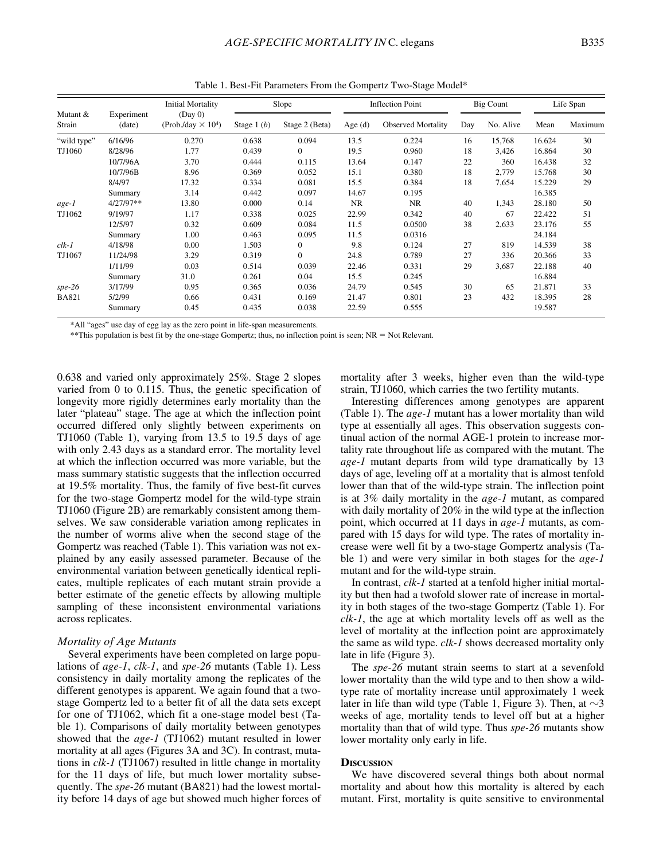| Mutant &<br>Strain | Experiment<br>(date) | <b>Initial Mortality</b><br>(Day 0)<br>(Prob./day $\times$ 10 <sup>4</sup> ) | Slope        |                | <b>Inflection Point</b> |                           | Big Count |           | Life Span |         |
|--------------------|----------------------|------------------------------------------------------------------------------|--------------|----------------|-------------------------|---------------------------|-----------|-----------|-----------|---------|
|                    |                      |                                                                              | Stage $1(b)$ | Stage 2 (Beta) | Age $(d)$               | <b>Observed Mortality</b> | Day       | No. Alive | Mean      | Maximum |
| "wild type"        | 6/16/96              | 0.270                                                                        | 0.638        | 0.094          | 13.5                    | 0.224                     | 16        | 15,768    | 16.624    | 30      |
| TJ1060             | 8/28/96              | 1.77                                                                         | 0.439        | $\mathbf{0}$   | 19.5                    | 0.960                     | 18        | 3,426     | 16.864    | 30      |
|                    | 10/7/96A             | 3.70                                                                         | 0.444        | 0.115          | 13.64                   | 0.147                     | 22        | 360       | 16.438    | 32      |
|                    | 10/7/96B             | 8.96                                                                         | 0.369        | 0.052          | 15.1                    | 0.380                     | 18        | 2,779     | 15.768    | 30      |
|                    | 8/4/97               | 17.32                                                                        | 0.334        | 0.081          | 15.5                    | 0.384                     | 18        | 7,654     | 15.229    | 29      |
|                    | Summary              | 3.14                                                                         | 0.442        | 0.097          | 14.67                   | 0.195                     |           |           | 16.385    |         |
| age-1              | 4/27/97**            | 13.80                                                                        | 0.000        | 0.14           | <b>NR</b>               | <b>NR</b>                 | 40        | 1,343     | 28.180    | 50      |
| TJ1062             | 9/19/97              | 1.17                                                                         | 0.338        | 0.025          | 22.99                   | 0.342                     | 40        | 67        | 22.422    | 51      |
|                    | 12/5/97              | 0.32                                                                         | 0.609        | 0.084          | 11.5                    | 0.0500                    | 38        | 2,633     | 23.176    | 55      |
|                    | Summary              | 1.00                                                                         | 0.463        | 0.095          | 11.5                    | 0.0316                    |           |           | 24.184    |         |
| $clk-1$            | 4/18/98              | 0.00                                                                         | 1.503        | $\mathbf{0}$   | 9.8                     | 0.124                     | 27        | 819       | 14.539    | 38      |
| TJ1067             | 11/24/98             | 3.29                                                                         | 0.319        | $\Omega$       | 24.8                    | 0.789                     | 27        | 336       | 20.366    | 33      |
|                    | 1/11/99              | 0.03                                                                         | 0.514        | 0.039          | 22.46                   | 0.331                     | 29        | 3,687     | 22.188    | 40      |
|                    | Summary              | 31.0                                                                         | 0.261        | 0.04           | 15.5                    | 0.245                     |           |           | 16.884    |         |
| $spe-26$           | 3/17/99              | 0.95                                                                         | 0.365        | 0.036          | 24.79                   | 0.545                     | 30        | 65        | 21.871    | 33      |
| <b>BA821</b>       | 5/2/99               | 0.66                                                                         | 0.431        | 0.169          | 21.47                   | 0.801                     | 23        | 432       | 18.395    | 28      |
|                    | Summary              | 0.45                                                                         | 0.435        | 0.038          | 22.59                   | 0.555                     |           |           | 19.587    |         |

Table 1. Best-Fit Parameters From the Gompertz Two-Stage Model\*

\*All "ages" use day of egg lay as the zero point in life-span measurements.

\*\*This population is best fit by the one-stage Gompertz; thus, no inflection point is seen;  $NR = Not$  Relevant.

0.638 and varied only approximately 25%. Stage 2 slopes varied from 0 to 0.115. Thus, the genetic specification of longevity more rigidly determines early mortality than the later "plateau" stage. The age at which the inflection point occurred differed only slightly between experiments on TJ1060 (Table 1), varying from 13.5 to 19.5 days of age with only 2.43 days as a standard error. The mortality level at which the inflection occurred was more variable, but the mass summary statistic suggests that the inflection occurred at 19.5% mortality. Thus, the family of five best-fit curves for the two-stage Gompertz model for the wild-type strain TJ1060 (Figure 2B) are remarkably consistent among themselves. We saw considerable variation among replicates in the number of worms alive when the second stage of the Gompertz was reached (Table 1). This variation was not explained by any easily assessed parameter. Because of the environmental variation between genetically identical replicates, multiple replicates of each mutant strain provide a better estimate of the genetic effects by allowing multiple sampling of these inconsistent environmental variations across replicates.

# *Mortality of Age Mutants*

Several experiments have been completed on large populations of *age-1*, *clk-1*, and *spe-26* mutants (Table 1). Less consistency in daily mortality among the replicates of the different genotypes is apparent. We again found that a twostage Gompertz led to a better fit of all the data sets except for one of TJ1062, which fit a one-stage model best (Table 1). Comparisons of daily mortality between genotypes showed that the *age-1* (TJ1062) mutant resulted in lower mortality at all ages (Figures 3A and 3C). In contrast, mutations in *clk-1* (TJ1067) resulted in little change in mortality for the 11 days of life, but much lower mortality subsequently. The *spe-26* mutant (BA821) had the lowest mortality before 14 days of age but showed much higher forces of mortality after 3 weeks, higher even than the wild-type strain, TJ1060, which carries the two fertility mutants.

Interesting differences among genotypes are apparent (Table 1). The *age-1* mutant has a lower mortality than wild type at essentially all ages. This observation suggests continual action of the normal AGE-1 protein to increase mortality rate throughout life as compared with the mutant. The *age-1* mutant departs from wild type dramatically by 13 days of age, leveling off at a mortality that is almost tenfold lower than that of the wild-type strain. The inflection point is at 3% daily mortality in the *age-1* mutant, as compared with daily mortality of 20% in the wild type at the inflection point, which occurred at 11 days in *age-1* mutants, as compared with 15 days for wild type. The rates of mortality increase were well fit by a two-stage Gompertz analysis (Table 1) and were very similar in both stages for the *age-1* mutant and for the wild-type strain.

In contrast, *clk-1* started at a tenfold higher initial mortality but then had a twofold slower rate of increase in mortality in both stages of the two-stage Gompertz (Table 1). For *clk-1*, the age at which mortality levels off as well as the level of mortality at the inflection point are approximately the same as wild type. *clk-1* shows decreased mortality only late in life (Figure 3).

The *spe-26* mutant strain seems to start at a sevenfold lower mortality than the wild type and to then show a wildtype rate of mortality increase until approximately 1 week later in life than wild type (Table 1, Figure 3). Then, at  $\sim$ 3 weeks of age, mortality tends to level off but at a higher mortality than that of wild type. Thus *spe-26* mutants show lower mortality only early in life.

## **DISCUSSION**

We have discovered several things both about normal mortality and about how this mortality is altered by each mutant. First, mortality is quite sensitive to environmental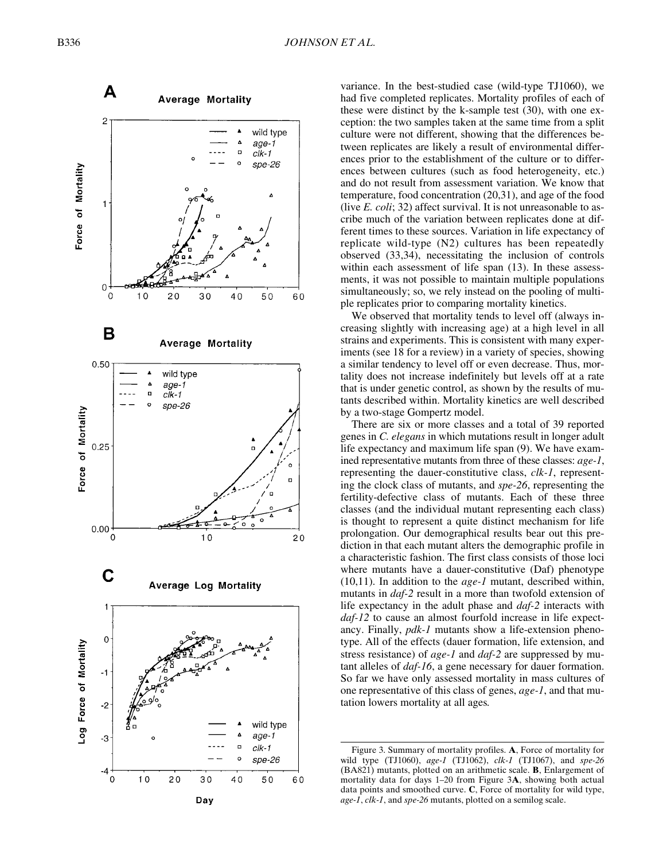

variance. In the best-studied case (wild-type TJ1060), we had five completed replicates. Mortality profiles of each of these were distinct by the k-sample test (30), with one exception: the two samples taken at the same time from a split culture were not different, showing that the differences between replicates are likely a result of environmental differences prior to the establishment of the culture or to differences between cultures (such as food heterogeneity, etc.) and do not result from assessment variation. We know that temperature, food concentration (20,31), and age of the food (live *E. coli*; 32) affect survival. It is not unreasonable to ascribe much of the variation between replicates done at different times to these sources. Variation in life expectancy of replicate wild-type (N2) cultures has been repeatedly observed (33,34), necessitating the inclusion of controls within each assessment of life span (13). In these assessments, it was not possible to maintain multiple populations simultaneously; so, we rely instead on the pooling of multiple replicates prior to comparing mortality kinetics.

We observed that mortality tends to level off (always increasing slightly with increasing age) at a high level in all strains and experiments. This is consistent with many experiments (see 18 for a review) in a variety of species, showing a similar tendency to level off or even decrease. Thus, mortality does not increase indefinitely but levels off at a rate that is under genetic control, as shown by the results of mutants described within. Mortality kinetics are well described by a two-stage Gompertz model.

There are six or more classes and a total of 39 reported genes in *C. elegans* in which mutations result in longer adult life expectancy and maximum life span (9). We have examined representative mutants from three of these classes: *age-1*, representing the dauer-constitutive class, *clk-1*, representing the clock class of mutants, and *spe-26*, representing the fertility-defective class of mutants. Each of these three classes (and the individual mutant representing each class) is thought to represent a quite distinct mechanism for life prolongation. Our demographical results bear out this prediction in that each mutant alters the demographic profile in a characteristic fashion. The first class consists of those loci where mutants have a dauer-constitutive (Daf) phenotype (10,11). In addition to the *age-1* mutant, described within, mutants in *daf-2* result in a more than twofold extension of life expectancy in the adult phase and *daf-2* interacts with *daf-12* to cause an almost fourfold increase in life expectancy. Finally, *pdk-1* mutants show a life-extension phenotype. All of the effects (dauer formation, life extension, and stress resistance) of *age-1* and *daf-2* are suppressed by mutant alleles of *daf-16*, a gene necessary for dauer formation. So far we have only assessed mortality in mass cultures of one representative of this class of genes, *age-1*, and that mutation lowers mortality at all ages*.*

Figure 3. Summary of mortality profiles. **A**, Force of mortality for wild type (TJ1060), *age-1* (TJ1062), *clk-1* (TJ1067), and *spe-26* (BA821) mutants, plotted on an arithmetic scale. **B**, Enlargement of mortality data for days 1–20 from Figure 3 **A**, showing both actual data points and smoothed curve. **C**, Force of mortality for wild type, *age-1*, *clk-1*, and *spe-26* mutants, plotted on a semilog scale.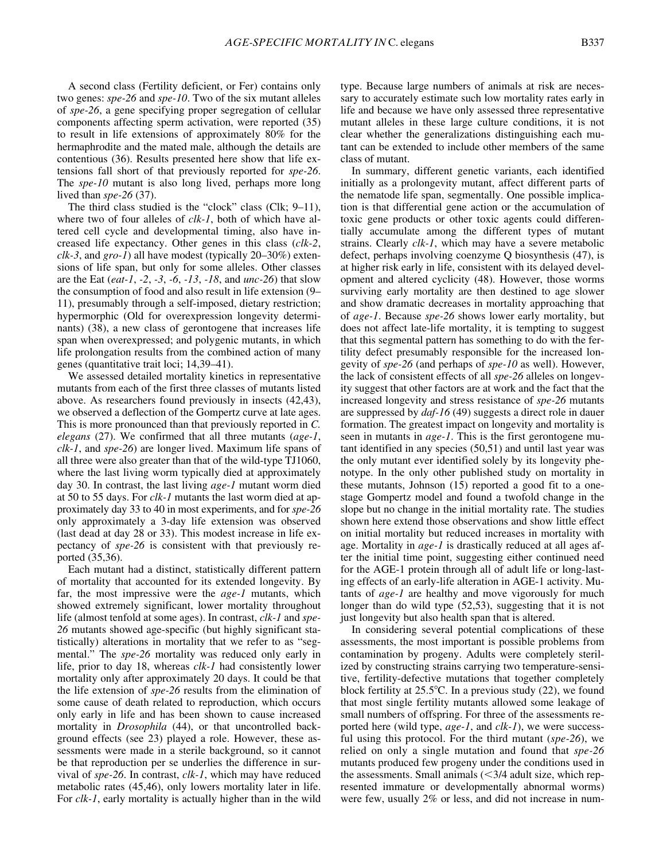A second class (Fertility deficient, or Fer) contains only two genes: *spe-26* and *spe-10*. Two of the six mutant alleles of *spe-26*, a gene specifying proper segregation of cellular components affecting sperm activation, were reported (35) to result in life extensions of approximately 80% for the hermaphrodite and the mated male, although the details are contentious (36). Results presented here show that life extensions fall short of that previously reported for *spe-26*. The *spe-10* mutant is also long lived, perhaps more long lived than *spe-26* (37).

The third class studied is the "clock" class (Clk; 9–11), where two of four alleles of *clk-1*, both of which have altered cell cycle and developmental timing, also have increased life expectancy. Other genes in this class (*clk-2*, *clk-3*, and *gro-1*) all have modest (typically 20–30%) extensions of life span, but only for some alleles. Other classes are the Eat (*eat-1*, *-2*, *-3*, *-6*, *-13*, *-18*, and *unc-26*) that slow the consumption of food and also result in life extension (9– 11), presumably through a self-imposed, dietary restriction; hypermorphic (Old for overexpression longevity determinants) (38), a new class of gerontogene that increases life span when overexpressed; and polygenic mutants, in which life prolongation results from the combined action of many genes (quantitative trait loci; 14,39–41).

We assessed detailed mortality kinetics in representative mutants from each of the first three classes of mutants listed above. As researchers found previously in insects (42,43), we observed a deflection of the Gompertz curve at late ages. This is more pronounced than that previously reported in *C. elegans* (27). We confirmed that all three mutants (*age-1*, *clk-1*, and *spe-26*) are longer lived. Maximum life spans of all three were also greater than that of the wild-type TJ1060, where the last living worm typically died at approximately day 30. In contrast, the last living *age-1* mutant worm died at 50 to 55 days. For *clk-1* mutants the last worm died at approximately day 33 to 40 in most experiments, and for *spe-26* only approximately a 3-day life extension was observed (last dead at day 28 or 33). This modest increase in life expectancy of *spe-26* is consistent with that previously reported (35,36).

Each mutant had a distinct, statistically different pattern of mortality that accounted for its extended longevity. By far, the most impressive were the *age-1* mutants, which showed extremely significant, lower mortality throughout life (almost tenfold at some ages). In contrast, *clk-1* and *spe-26* mutants showed age-specific (but highly significant statistically) alterations in mortality that we refer to as "segmental." The *spe-26* mortality was reduced only early in life, prior to day 18, whereas *clk-1* had consistently lower mortality only after approximately 20 days. It could be that the life extension of *spe-26* results from the elimination of some cause of death related to reproduction, which occurs only early in life and has been shown to cause increased mortality in *Drosophila* (44), or that uncontrolled background effects (see 23) played a role. However, these assessments were made in a sterile background, so it cannot be that reproduction per se underlies the difference in survival of *spe-26*. In contrast, *clk-1*, which may have reduced metabolic rates (45,46), only lowers mortality later in life. For *clk-1*, early mortality is actually higher than in the wild type. Because large numbers of animals at risk are necessary to accurately estimate such low mortality rates early in life and because we have only assessed three representative mutant alleles in these large culture conditions, it is not clear whether the generalizations distinguishing each mutant can be extended to include other members of the same class of mutant.

In summary, different genetic variants, each identified initially as a prolongevity mutant, affect different parts of the nematode life span, segmentally. One possible implication is that differential gene action or the accumulation of toxic gene products or other toxic agents could differentially accumulate among the different types of mutant strains. Clearly *clk-1*, which may have a severe metabolic defect, perhaps involving coenzyme Q biosynthesis (47), is at higher risk early in life, consistent with its delayed development and altered cyclicity (48). However, those worms surviving early mortality are then destined to age slower and show dramatic decreases in mortality approaching that of *age-1*. Because *spe-26* shows lower early mortality, but does not affect late-life mortality, it is tempting to suggest that this segmental pattern has something to do with the fertility defect presumably responsible for the increased longevity of *spe-26* (and perhaps of *spe-10* as well). However, the lack of consistent effects of all *spe-26* alleles on longevity suggest that other factors are at work and the fact that the increased longevity and stress resistance of *spe-26* mutants are suppressed by *daf-16* (49) suggests a direct role in dauer formation. The greatest impact on longevity and mortality is seen in mutants in *age-1*. This is the first gerontogene mutant identified in any species (50,51) and until last year was the only mutant ever identified solely by its longevity phenotype. In the only other published study on mortality in these mutants, Johnson (15) reported a good fit to a onestage Gompertz model and found a twofold change in the slope but no change in the initial mortality rate. The studies shown here extend those observations and show little effect on initial mortality but reduced increases in mortality with age. Mortality in *age-1* is drastically reduced at all ages after the initial time point, suggesting either continued need for the AGE-1 protein through all of adult life or long-lasting effects of an early-life alteration in AGE-1 activity. Mutants of *age-1* are healthy and move vigorously for much longer than do wild type (52,53), suggesting that it is not just longevity but also health span that is altered.

In considering several potential complications of these assessments, the most important is possible problems from contamination by progeny. Adults were completely sterilized by constructing strains carrying two temperature-sensitive, fertility-defective mutations that together completely block fertility at  $25.5^{\circ}$ C. In a previous study (22), we found that most single fertility mutants allowed some leakage of small numbers of offspring. For three of the assessments reported here (wild type, *age-1*, and *clk-1*), we were successful using this protocol. For the third mutant (*spe-26*), we relied on only a single mutation and found that *spe-26* mutants produced few progeny under the conditions used in the assessments. Small animals  $(<$ 3/4 adult size, which represented immature or developmentally abnormal worms) were few, usually 2% or less, and did not increase in num-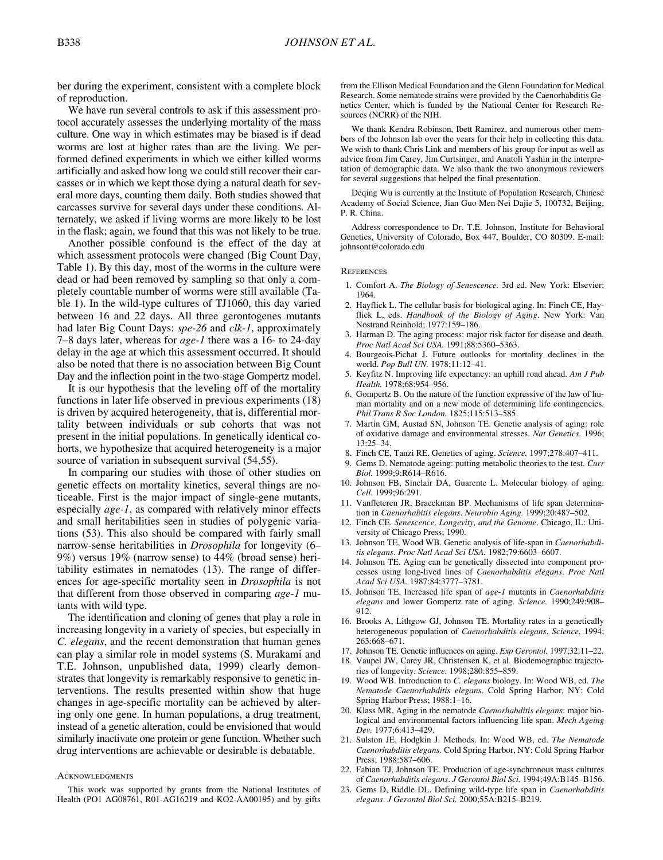ber during the experiment, consistent with a complete block of reproduction.

We have run several controls to ask if this assessment protocol accurately assesses the underlying mortality of the mass culture. One way in which estimates may be biased is if dead worms are lost at higher rates than are the living. We performed defined experiments in which we either killed worms artificially and asked how long we could still recover their carcasses or in which we kept those dying a natural death for several more days, counting them daily. Both studies showed that carcasses survive for several days under these conditions. Alternately, we asked if living worms are more likely to be lost in the flask; again, we found that this was not likely to be true.

Another possible confound is the effect of the day at which assessment protocols were changed (Big Count Day, Table 1). By this day, most of the worms in the culture were dead or had been removed by sampling so that only a completely countable number of worms were still available (Table 1). In the wild-type cultures of TJ1060, this day varied between 16 and 22 days. All three gerontogenes mutants had later Big Count Days: *spe-26* and *clk-1*, approximately 7–8 days later, whereas for *age-1* there was a 16- to 24-day delay in the age at which this assessment occurred. It should also be noted that there is no association between Big Count Day and the inflection point in the two-stage Gompertz model.

It is our hypothesis that the leveling off of the mortality functions in later life observed in previous experiments (18) is driven by acquired heterogeneity, that is, differential mortality between individuals or sub cohorts that was not present in the initial populations. In genetically identical cohorts, we hypothesize that acquired heterogeneity is a major source of variation in subsequent survival (54,55).

In comparing our studies with those of other studies on genetic effects on mortality kinetics, several things are noticeable. First is the major impact of single-gene mutants, especially *age-1*, as compared with relatively minor effects and small heritabilities seen in studies of polygenic variations (53). This also should be compared with fairly small narrow-sense heritabilities in *Drosophila* for longevity (6– 9%) versus 19% (narrow sense) to 44% (broad sense) heritability estimates in nematodes (13). The range of differences for age-specific mortality seen in *Drosophila* is not that different from those observed in comparing *age-1* mutants with wild type.

The identification and cloning of genes that play a role in increasing longevity in a variety of species, but especially in *C. elegans*, and the recent demonstration that human genes can play a similar role in model systems (S. Murakami and T.E. Johnson, unpublished data, 1999) clearly demonstrates that longevity is remarkably responsive to genetic interventions. The results presented within show that huge changes in age-specific mortality can be achieved by altering only one gene. In human populations, a drug treatment, instead of a genetic alteration, could be envisioned that would similarly inactivate one protein or gene function. Whether such drug interventions are achievable or desirable is debatable.

#### **ACKNOWLEDGMENTS**

from the Ellison Medical Foundation and the Glenn Foundation for Medical Research. Some nematode strains were provided by the Caenorhabditis Genetics Center, which is funded by the National Center for Research Resources (NCRR) of the NIH.

We thank Kendra Robinson, Ibett Ramirez, and numerous other members of the Johnson lab over the years for their help in collecting this data. We wish to thank Chris Link and members of his group for input as well as advice from Jim Carey, Jim Curtsinger, and Anatoli Yashin in the interpretation of demographic data. We also thank the two anonymous reviewers for several suggestions that helped the final presentation.

Deqing Wu is currently at the Institute of Population Research, Chinese Academy of Social Science, Jian Guo Men Nei Dajie 5, 100732, Beijing, P. R. China.

Address correspondence to Dr. T.E. Johnson, Institute for Behavioral Genetics, University of Colorado, Box 447, Boulder, CO 80309. E-mail: johnsont@colorado.edu

#### **REFERENCES**

- 1. Comfort A. *The Biology of Senescence.* 3rd ed. New York: Elsevier; 1964.
- 2. Hayflick L. The cellular basis for biological aging. In: Finch CE, Hayflick L, eds. *Handbook of the Biology of Aging*. New York: Van Nostrand Reinhold; 1977:159–186.
- 3. Harman D. The aging process: major risk factor for disease and death. *Proc Natl Acad Sci USA.* 1991;88:5360–5363.
- 4. Bourgeois-Pichat J. Future outlooks for mortality declines in the world. *Pop Bull UN.* 1978;11:12–41.
- 5. Keyfitz N. Improving life expectancy: an uphill road ahead. *Am J Pub Health.* 1978;68:954–956.
- 6. Gompertz B. On the nature of the function expressive of the law of human mortality and on a new mode of determining life contingencies. *Phil Trans R Soc London.* 1825;115:513–585.
- 7. Martin GM, Austad SN, Johnson TE. Genetic analysis of aging: role of oxidative damage and environmental stresses. *Nat Genetics.* 1996; 13:25–34.
- 8. Finch CE, Tanzi RE. Genetics of aging. *Science.* 1997;278:407–411.
- 9. Gems D. Nematode ageing: putting metabolic theories to the test. *Curr Biol.* 1999;9:R614–R616.
- 10. Johnson FB, Sinclair DA, Guarente L. Molecular biology of aging. *Cell.* 1999;96:291.
- 11. Vanfleteren JR, Braeckman BP. Mechanisms of life span determination in *Caenorhabitis elegans*. *Neurobio Aging.* 1999;20:487–502.
- 12. Finch CE. *Senescence, Longevity, and the Genome*. Chicago, IL: University of Chicago Press; 1990.
- 13. Johnson TE, Wood WB. Genetic analysis of life-span in *Caenorhabditis elegans*. *Proc Natl Acad Sci USA.* 1982;79:6603–6607.
- 14. Johnson TE. Aging can be genetically dissected into component processes using long-lived lines of *Caenorhabditis elegans*. *Proc Natl Acad Sci USA.* 1987;84:3777–3781.
- 15. Johnson TE. Increased life span of *age-1* mutants in *Caenorhabditis elegans* and lower Gompertz rate of aging. *Science.* 1990;249:908– 912.
- 16. Brooks A, Lithgow GJ, Johnson TE. Mortality rates in a genetically heterogeneous population of *Caenorhabditis elegans*. *Science.* 1994; 263:668–671.
- 17. Johnson TE. Genetic influences on aging. *Exp Gerontol.* 1997;32:11–22.
- 18. Vaupel JW, Carey JR, Christensen K, et al. Biodemographic trajectories of longevity. *Science.* 1998;280:855–859.
- 19. Wood WB. Introduction to *C. elegans* biology. In: Wood WB, ed. *The Nematode Caenorhabditis elegans*. Cold Spring Harbor, NY: Cold Spring Harbor Press; 1988:1–16.
- 20. Klass MR. Aging in the nematode *Caenorhabditis elegans*: major biological and environmental factors influencing life span. *Mech Ageing Dev.* 1977;6:413–429.
- 21. Sulston JE, Hodgkin J. Methods. In: Wood WB, ed. *The Nematode Caenorhabditis elegans.* Cold Spring Harbor, NY: Cold Spring Harbor Press; 1988:587–606.
- 22. Fabian TJ, Johnson TE. Production of age-synchronous mass cultures of *Caenorhabditis elegans*. *J Gerontol Biol Sci.* 1994;49A:B145–B156.
- 23. Gems D, Riddle DL. Defining wild-type life span in *Caenorhabditis elegans*. *J Gerontol Biol Sci.* 2000;55A:B215–B219.